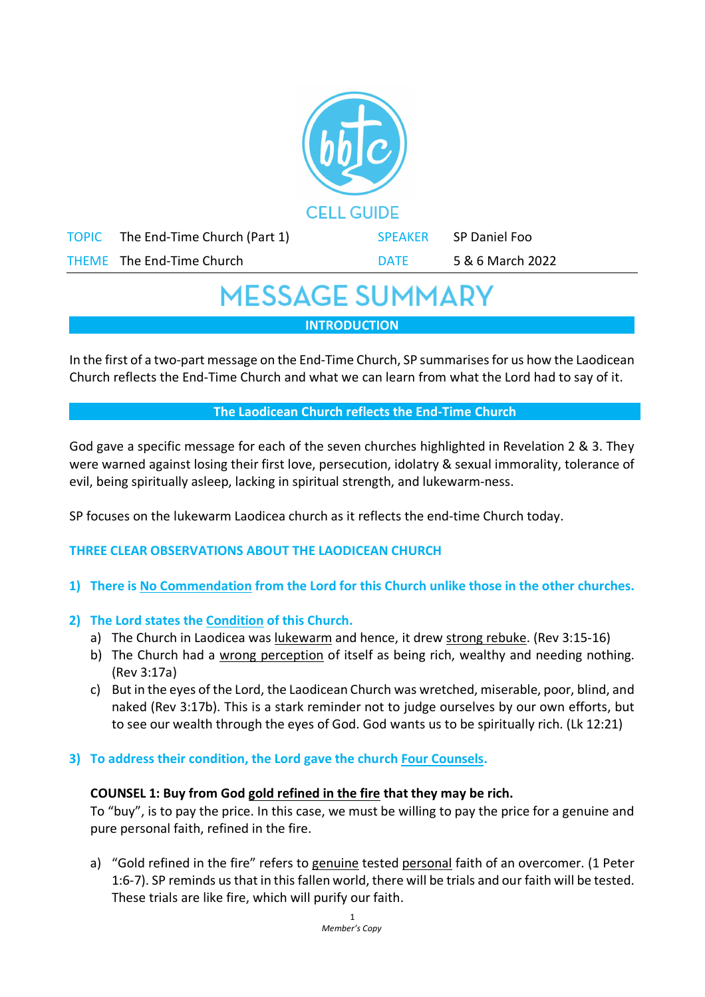|              |                              | <b>CELL GUIDE</b> |                  |  |
|--------------|------------------------------|-------------------|------------------|--|
| <b>TOPIC</b> | The End-Time Church (Part 1) | <b>SPEAKER</b>    | SP Daniel Foo    |  |
|              | THEME The End-Time Church    | <b>DATE</b>       | 5 & 6 March 2022 |  |
|              |                              |                   |                  |  |

# **MESSAGE SUMMARY**

**INTRODUCTION**

In the first of a two-part message on the End-Time Church, SP summarises for us how the Laodicean Church reflects the End-Time Church and what we can learn from what the Lord had to say of it.

#### **The Laodicean Church reflects the End-Time Church**

God gave a specific message for each of the seven churches highlighted in Revelation 2 & 3. They were warned against losing their first love, persecution, idolatry & sexual immorality, tolerance of evil, being spiritually asleep, lacking in spiritual strength, and lukewarm-ness.

SP focuses on the lukewarm Laodicea church as it reflects the end-time Church today.

# **THREE CLEAR OBSERVATIONS ABOUT THE LAODICEAN CHURCH**

**1) There is No Commendation from the Lord for this Church unlike those in the other churches.** 

# **2) The Lord states the Condition of this Church.**

- a) The Church in Laodicea was lukewarm and hence, it drew strong rebuke. (Rev 3:15-16)
- b) The Church had a wrong perception of itself as being rich, wealthy and needing nothing. (Rev 3:17a)
- c) But in the eyes of the Lord, the Laodicean Church was wretched, miserable, poor, blind, and naked (Rev 3:17b). This is a stark reminder not to judge ourselves by our own efforts, but to see our wealth through the eyes of God. God wants us to be spiritually rich. (Lk 12:21)

# **3) To address their condition, the Lord gave the church Four Counsels.**

# **COUNSEL 1: Buy from God gold refined in the fire that they may be rich.**

To "buy", is to pay the price. In this case, we must be willing to pay the price for a genuine and pure personal faith, refined in the fire.

a) "Gold refined in the fire" refers to genuine tested personal faith of an overcomer. (1 Peter 1:6-7). SP reminds us that in thisfallen world, there will be trials and our faith will be tested. These trials are like fire, which will purify our faith.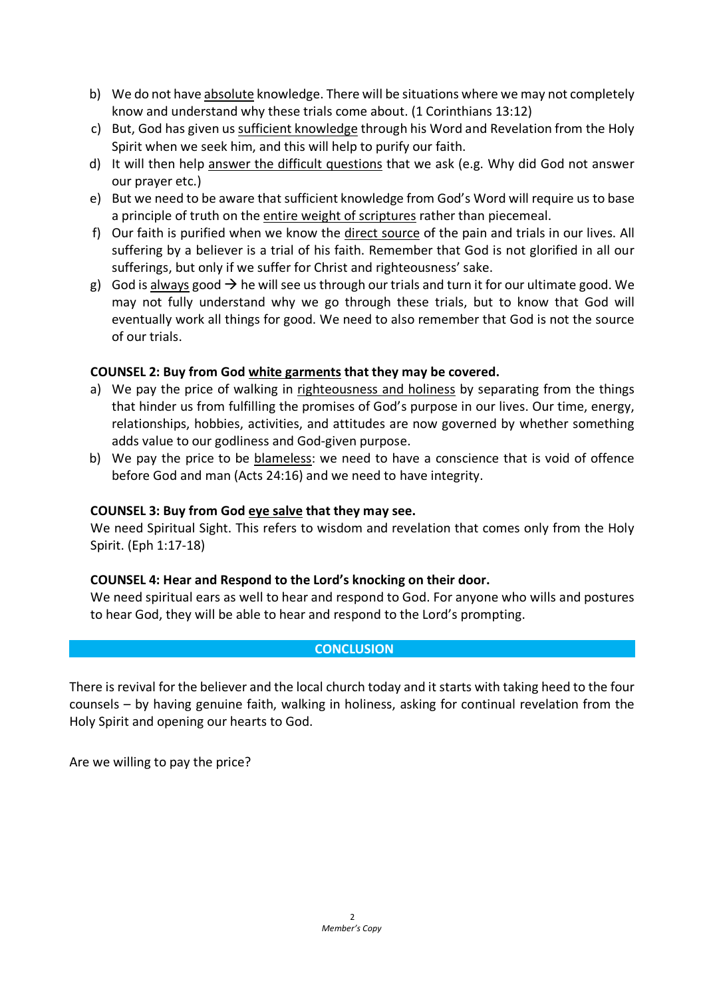- b) We do not have absolute knowledge. There will be situations where we may not completely know and understand why these trials come about. (1 Corinthians 13:12)
- c) But, God has given us sufficient knowledge through his Word and Revelation from the Holy Spirit when we seek him, and this will help to purify our faith.
- d) It will then help answer the difficult questions that we ask (e.g. Why did God not answer our prayer etc.)
- e) But we need to be aware that sufficient knowledge from God's Word will require us to base a principle of truth on the entire weight of scriptures rather than piecemeal.
- f) Our faith is purified when we know the direct source of the pain and trials in our lives. All suffering by a believer is a trial of his faith. Remember that God is not glorified in all our sufferings, but only if we suffer for Christ and righteousness' sake.
- g) God is always good  $\rightarrow$  he will see us through our trials and turn it for our ultimate good. We may not fully understand why we go through these trials, but to know that God will eventually work all things for good. We need to also remember that God is not the source of our trials.

# **COUNSEL 2: Buy from God white garments that they may be covered.**

- a) We pay the price of walking in righteousness and holiness by separating from the things that hinder us from fulfilling the promises of God's purpose in our lives. Our time, energy, relationships, hobbies, activities, and attitudes are now governed by whether something adds value to our godliness and God-given purpose.
- b) We pay the price to be blameless: we need to have a conscience that is void of offence before God and man (Acts 24:16) and we need to have integrity.

# **COUNSEL 3: Buy from God eye salve that they may see.**

We need Spiritual Sight. This refers to wisdom and revelation that comes only from the Holy Spirit. (Eph 1:17-18)

# **COUNSEL 4: Hear and Respond to the Lord's knocking on their door.**

We need spiritual ears as well to hear and respond to God. For anyone who wills and postures to hear God, they will be able to hear and respond to the Lord's prompting.

# **CONCLUSION**

There is revival for the believer and the local church today and it starts with taking heed to the four counsels – by having genuine faith, walking in holiness, asking for continual revelation from the Holy Spirit and opening our hearts to God.

Are we willing to pay the price?